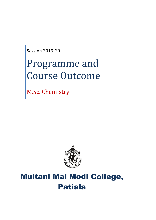Session 2019-20

# Programme and Course Outcome

M.Sc. Chemistry



# Multani Mal Modi College, Patiala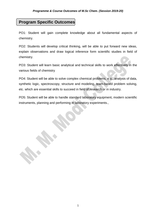# **Program Specific Outcomes**

PO1: Student will gain complete knowledge about all fundamental aspects of chemistry.

PO2: Students will develop critical thinking, will be able to put forward new ideas, explain observations and draw logical inference form scientific studies in field of chemistry.

PO3: Student will learn basic analytical and technical skills to work effectively in the various fields of chemistry

PO4: Student will be able to solve complex chemical problems, e.g., analysis of data, synthetic logic, spectroscopy, structure and modeling, team-based problem solving, etc. which are essential skills to succeed in field of research or in industry.

PO5: Student will be able to handle standard laboratory equipment, modern scientific instruments, planning and performing in laboratory experiments.,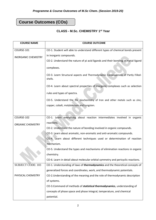# **Course Outcomes (COs)**

# **CLASS - M.Sc. CHEMISTRY 1st Year**

| <b>COURSE NAME</b>         | <b>COURSE OUTCOME</b>                                                                      |
|----------------------------|--------------------------------------------------------------------------------------------|
| COURSE-101                 | CO-1. Student will able to understand different types of chemical bonds present            |
| <b>INORGANIC CHEMISTRY</b> | in inorganic compounds.                                                                    |
|                            | CO-2. Understand the nature of pi acid ligands and their bonding in metal-ligand           |
|                            | complexes.                                                                                 |
|                            | CO-3. Learn Structural aspects and Thermodynamic Consequences of Partly Filled-<br>shells. |
|                            | CO-4. Learn about spectral properties of inorganic complexes such as selection             |
|                            | rules and types of spectra.                                                                |
|                            | CO-5. Understand the the biochemistry of Iron and other metals such as zinc,               |
|                            | copper, cobalt, molybdenum and tungsten.                                                   |
|                            |                                                                                            |
| COURSE-102                 | CO-1. Learn everything about reaction intermediates involved in organic                    |
| <b>ORGANIC CHEMISTRY</b>   | reactions.                                                                                 |
|                            | CO-2. Understand the nature of bonding involved in organic compounds.                      |
|                            | CO-3. Learn about aromatic, non-aromatic and anti-aromatic compounds.                      |
|                            | CO-4. Learn about different techniques used or determination of reaction                   |
|                            | mechanism.                                                                                 |
|                            | CO-5. Understand the types and mechanisms of elimination reactions in organic              |
|                            | chemistry.                                                                                 |
|                            | CO-6. Learn in detail about molecular orbital symmetry and pericyclic reactions.           |
| <b>SUBJECT CODE: 103</b>   | CO-1. Understanding of laws of thermodynamics and the theoretical concepts of              |
|                            | generalized forces and coordinates, work, and thermodynamic potentials.                    |
| PHYSICAL CHEMISTRY         | CO-2. Understanding of the meaning and the role of thermodynamic description               |
|                            | of systems.                                                                                |
|                            | CO-3.Command of methods of statistical thermodynamics, understanding of                    |
|                            | concepts of phase space and phase integral, temperature, and chemical                      |
|                            | potential.                                                                                 |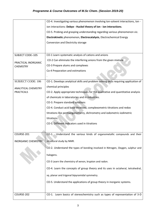|                                         | CO-4. Investigating various phenomenon involving Ion-solvent interactions, Ion -     |
|-----------------------------------------|--------------------------------------------------------------------------------------|
|                                         | ion interactions: Debye - Huckel theory of ion - ion interactions.                   |
|                                         | CO-5. Probing and grasping understanding regarding various phenomenon viz.           |
|                                         | Electrokinetic phenomenon, Electrocatalysis, Electrochemical Energy                  |
|                                         | Conversion and Electricity storage                                                   |
|                                         |                                                                                      |
| SUBJECT CODE-105                        | CO-1 Learn systematic analysis of cations and anions                                 |
| PRACTICAL INORGANIC<br><b>CHEMISTRY</b> | CO-2 Can eliminate the interfering anions from the given mixture.                    |
|                                         | CO-3 Prepare alums and complexes                                                     |
|                                         | Co-4 Preparation and estimations                                                     |
|                                         |                                                                                      |
| <b>SUBJECT CODE: 106</b>                | CO-1. Develops analytical skills and problem solving skills requiring application of |
| <b>ANALYTICAL CHEMISTRY</b>             | chemical principles                                                                  |
| <b>PRACTICALS</b>                       | CO-2. Apply appropriate techniques for the qualitative and quantitative analysis     |
|                                         | of chemicals in laboratories and in industries.                                      |
|                                         | CO-3. Prepare standard solutions                                                     |
|                                         | CO-4. Conduct acid base titrations, complexometric titrations and redox              |
|                                         | titrations like permanganometry, dichrometry and iodometric-iodimetric               |
|                                         | titrations.                                                                          |
|                                         | CO-5. Different indicators used in titrations                                        |
|                                         |                                                                                      |
| COURSE-201                              | CO-1. Understand the various kinds of organometallic compounds and their             |
| <b>INORGANIC CHEMISTRY</b>              | structural study by NMR.                                                             |
|                                         | CO-2. Understand the types of bonding involved in Nitrogen, Oxygen, sulphur and      |
|                                         | halogens.                                                                            |
|                                         | CO-3 Learn the chemistry of xenon, krypton and radon.                                |
|                                         | CO-4. Learn the concepts of group theory and its uses in octaheral, tetrahedral,     |
|                                         | sq. planar and trigonal bipyramidal symmetry.                                        |
|                                         | CO-5. Understand the applications of group theory in inorganic systems.              |
|                                         |                                                                                      |
| COURSE-202                              | CO-1. Learn basics of stereochemistry such as types of representation of 3-D         |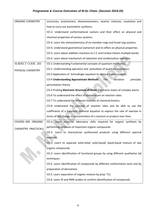| <b>ORGANIC CHEMISTRY</b> | structures, enantiomers, diastereoisomers, racemic mixtures, resolution and        |
|--------------------------|------------------------------------------------------------------------------------|
|                          | how to carry out asymmetric synthesis.                                             |
|                          | CO-2. Understand conformational isomers and their effect on physical and           |
|                          | chemical properties of various systems.                                            |
|                          | CO-3. Learn the stereochemistry of six member rings and fused ring systems.        |
|                          | CO-4. Understand geometrical isomerism and its effect on physical properties.      |
|                          | CO-5. Learn about addition reactions to C-C and Carbon-hetero multiple bonds.      |
|                          | CO-6. Learn about mechanism of reduction and condensation reactions.               |
| <b>SUBJECT CODE: 203</b> | CO-1 Understanding Fundamental concepts of quantum mechanics.                      |
| PHYSICAL CHEMISTRY       | CO-2 Understanding operators and postulates of quantum mechanics                   |
|                          | CO-3 Application of Schrodinger equation to various model systems.                 |
|                          | <b>CO-4 Understanding Approximate Methods</b><br>variation<br>The<br>principle,    |
|                          | perturbation theory.                                                               |
|                          | CO-5 Probing Electronic Structure of Atom: Electronic states of complex atoms      |
|                          | CO-6 To understand the effect of temperature on reaction rates.                    |
|                          | CO-7 To understand the different theories of chemical kinetics.                    |
|                          | CO-8 Understand the concept of reaction rates and be able to use the               |
|                          | coefficients of a balanced chemical equation to express the rate of reaction in    |
|                          | terms of the change in concentration of a reactant or product over time.           |
| COURSE-205 : ORGANIC     | CO-1. Learn essential laboratory skills required for organic synthesis by          |
| CHEMISTRY PRACTICALS     | performing synthesis of important organic compounds.                               |
|                          | CO-2. Learn to characterize synthesized products using different spectral          |
|                          | methods.                                                                           |
|                          | CO-3. Learn to separate solid-solid/ solid-liquid/ liquid-liquid mixture of two    |
|                          | organic compounds.                                                                 |
|                          | CO.3- Learn identification of functional groups by using different qualitative lab |
|                          | techniques.                                                                        |
|                          | CO.4. Learn identification of compounds by different conformation tests and by     |
|                          | preparation of derivatives.                                                        |
|                          | CO.5. Learn separation of organic mixture by prep. TLC.                            |
|                          | CO.6. Learn IR and PMR studies to confirm identification of compounds.             |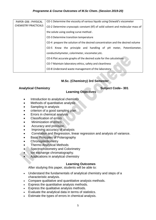| PAPER-206 : PHYSICAL<br><b>CHEMISTRY PRACTICALS</b> | CO-1 Determine the viscosity of various liquids using Ostwald's viscometer     |
|-----------------------------------------------------|--------------------------------------------------------------------------------|
|                                                     | CO-2 Determine cryoscopic constant (Kf) of solid solvent and molecular mass of |
|                                                     | the solute using cooling curve method.                                         |
|                                                     | CO-3 Determine transition temperature                                          |
|                                                     | CO-4 prepare the solution of the desired concentration and the desired volume  |
|                                                     | CO-5 Know the principle and handling of pH meter, Potentiometer,               |
|                                                     | conductivitymeter, colorimeter, viscometer, etc.                               |
|                                                     | CO-6 Plot accurate graphs of the desired scale for the calculations            |
|                                                     | CO-7 Maintain laboratory ethics, safety and cleanliness                        |
|                                                     | CO-8 Understand waste management of the laboratory                             |
|                                                     |                                                                                |

# **M.Sc. (Chemistry) 3rd Semester**

# Analytical Chemistry **Subject Code–** 301

# **Learning Objectives**

- Introduction to analytical chemistry
- Methods of quantitative analysis
- Sampling in analysis
- criterion of a good sampling plan
- Errors in chemical analysis
- Classification of errors
- Minimization of errors
- Accuracy and precision.
- Improving accuracy of analysis
- Correlation and Regression, linear regression and analysis of variance.
- Basic Principles of Polarography
- Chronoptentiometry
- Thermo Analytical Methods
- Spectrophotometry and Colorimetry
- Ion exchange chromatography.
- Applications in analytical chemistry

#### **Learning Outcomes**

After studying this paper, students will be able to:

- Understand the fundamentals of analytical chemistry and steps of a characteristic analysis.
- Compare qualitative and quantitative analysis methods.
- Express the quantitative analysis methods.
- Express the qualitative analysis methods.
- Evaluate the analytical data in terms of statistics.
- Estimate the types of errors in chemical analysis.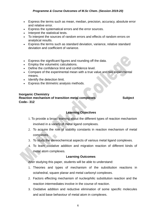- Express the terms such as mean, median, precision, accuracy, absolute error and relative error.
- Express the systematical errors and the error sources.
- Interpret the statistical tests.
- To interpret the sources of random errors and effects of random errors on analytical results.
- Express the terms such as standard deviation, variance, relative standard deviation and coefficient of variance.
- Express the significant figures and rounding off the data.
- Employ the volumetric calculations.
- Define the confidence limit and confidence level.
- Compare of the experimental mean with a true value and two experimental means.
- Identify the detection limit.
- Express the titrimetric analysis methods.

#### **Inorganic Chemistry Reaction mechanism of transition metal complexes <b>Subject** Subject **Code– 312**

# **Learning Objectives**

- 1. To provide a broad learning about the different types of reaction mechanism involved in a variety of metal ligand complexes.
- 2. To acquire the role of stability constants in reaction mechanism of metal complexes.
- 3. To study the stereochemical aspects of various metal ligand complexes.
- 4. To learn oxidative addition and migration reaction of different kinds of metal atom complexes.

# **Learning Outcomes**

After studying this paper, students will be able to understand:

- 1. Theories and types of mechanism of the substitution reactions in octahedral, square planar and metal carbonyl complexes.
- 2. Factors effecting mechanism of nucleophilic substitution reaction and the reaction intermediates involve in the course of reaction.
- 3. Oxidative addition and reductive elimination of some specific molecules and acid base behaviour of metal atom in complexes.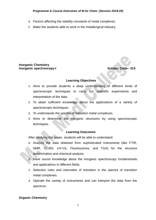- 4. Factors affecting the stability constants of metal complexes.
- 5. Make the students able to work in the metallurgical industry.

#### **Inorganic Chemistry Inorganic spectroscopy-I** Subject Code–313

#### **Learning Objectives**

- 1. Aims to provide students a deep understanding of different kinds of spectroscopic techniques to carry out scientific experiments and interpretation of the data.
- 2. To attain sufficient knowledge about the applications of a variety of spectroscopic techniques.
- 3. To understands the spectra of transition metal complexes.
- 4. Aims to determine the inorganic structures by using spectroscopic techniques.

#### **Learning Outcomes**

After studying this paper, students will be able to understand:

- **1.** Analyze the data obtained from sophisticated instruments (like FTIR, NMR, GCMS, UV-Vis, Fluorescence, and TGA) for the structure determination and chemical analysis.
- **2.** Have sound knowledge about the inorganic spectroscopy fundamentals and applications in different fields.
- 3. Selection rules and intensities of transition in the spectra of transition metal complexes.
- 4. Operate the variety of instruments and can interpret the data from the spectrum.

#### **Organic Chemistry**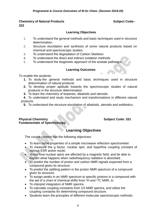# **Chemistry of Natural Products Subject Code– 322**

# **Learning Objectives**

- 1. To understand the general methods and basic techniques used in structure determination.
- 2. Structure elucidation and synthesis of some natural products based on chemical and spectroscopic studies.
- 3. To understand the degradation of Carbon Skeleton.
- 4. To understand the direct and indirect oxidation methods.
- 5. To understand the biogenetic approach of the acetate pathways.

# **Learning Outcomes**

To enable the students:

- **1.** To study the general methods and basic techniques used in structure determination of natural products
- **2.** To develop proper aptitude towards the spectroscopic studies of natural products in the structure determination.
- **3.** To learn the chemistry of terpenes, alkaloids and steroids.

**4.** To understand and study mechanism and transformations in different natural products.

**5.** To understand the structure elucidation of alkaloids, steroids and antibiotics.

# **Physical Chemistry <b>Subject Code:** 331 **Fundamentals of Spectroscopy**

# **Learning Objectives**

The course content has the following objectives:

- To learn some properties of a simple microwave reflection spectrometer.
- To measure the g factor, nuclear spin, and hyperfine coupling constant of various ESR active nuclei.
- Know how nuclear spins are affected by a magnetic field, and be able to explain what happens when radiofrequency radiation is absorbed. .
- To predict the number of proton and carbon NMR signals expected from a compound given its structure.
- To predict the splitting pattern in the proton NMR spectrum of a compound given its structure.
- To assign peaks in an NMR spectrum to specific protons in a compound with the aid of a chart of chemical shifts from  ${}^{1}$ H and  ${}^{13}$ C NMR, to
- To interpret integration of NMR spectra.
- To calculate coupling constants from 1H NMR spectra, and utilize the coupling constants for determining compound structure.
- Students learn the principles of different molecular spectroscopic methods.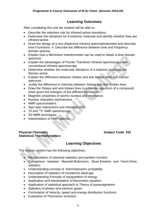# **Learning Outcomes**

After completing this unit the student will be able to:

- Describe the selection rule for infrared-active transitions.
- Determine the vibrations for a triatomic molecule and identify whether they are infrared-active.
- Draw the design of a non-dispersive infrared spectrophotometer and describe how it functions. 4. Describe the difference between time and frequency domain spectra.
- Explain how a Michelson Interferometer can be used to obtain a time domain spectrum.
- Explain the advantages of Fourier Transform infrared spectroscopy over conventional infrared spectroscopy
- Determine whether the molecular vibrations of a triatomic molecule are Raman active.
- Explain the difference between Stokes and anti-Stokes lines in a Raman spectrum.
- Justify the difference in intensity between Stokes and anti-Stokes lines.
- Draw the Stokes and anti-Stokes lines in a Raman spectrum of a compound when given the energies of the different transitions
- Magnetic properties of atomic nucleus and resonance.
- Nuclear relaxation mechanisms.
- NMR spectrometers.
- Spin-spin interactions and chemical shift.
- $\bullet$  <sup>1</sup>H and <sup>13</sup>C NMR spectroscopy.
- 2D NMR techniques.
- Interpretation of NMR spectra.

# **Physical Chemistry <b>Subject Code:** 332 **Statistical Thermodynamics**

# **Learning Objectives**

The course content has the following objectives:

- Recapitulation of classical statistics and partition function
- Comparison between Maxwell-Boltzmann, Bose-Einstein and Fermi-Dirac statistics
- Understanding concept of thermodynamic probability
- Description of statistics of monatomic ideal gas
- Understanding Principle of equipartition of energy
- Application and interpretation of Barometric equation
- Application of statistical approach to Theory of paramagnetism
- Statistics of photon and electron gases
- Formulation of Velocity, speed and energy distribution functions
- Evaluation of Thermionic emission.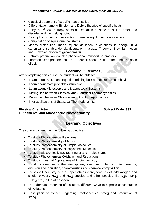- Classical treatment of specific heat of solids
- Differentiation among Einstein and Debye theories of specific heats
- Debye's  $T^3$  law, entropy of solids, equation of state of solids, order and disorder and the melting point.
- Description of Law of mass action, chemical equilibrium, dissociation
- Computation of equilibrium constants
- Means distribution, mean square deviation, fluctuations in energy in a canonical ensemble, density fluctuation in a gas.. Theory of Brownian motion and Brownian motion of galvanometer.
- Entropy production, coupled phenomena, transport parameters
- Thermoelectric phenomena, The Seebeck effect, Peltier effect and Thomson effect.

# **Learning Outcomes**

After completing this course the student will be able to:

- Learn about Boltzmann equation relating bulk and microscopic behavior.
- Learn about most probable distribution.
- Learn about Microscopic and Macroscopic Systems
- Distinguish between Classical and Statistical Thermodynamics.
- Distinguish between Classical and Quantum Approaches
- Infer applications of Statistical Thermodynamics

# **Physical Chemistry <b>Subject Code:** 333

# **Fundamental and Atmospheric Photochemistry**

# **Learning Objectives**

The course content has the following objectives:

- To study Photochemical Reactions
- To study Photochemistry of Atoms
- To study Photochemistry of Simple Molecules
- To study Photochemistry of Polyatomic Molecules
- To study Electronically Excited Singlet and Triplet States
- To study Photochemical Oxidation and Reductions
- To study Industrial Applications of Photochemistry
- To study structure of the atmosphere, structure in terms of temperature, diffusion and ionization, characteristics and chemical composition.
- To study Chemistry of the upper atmosphere, features of odd oxygen and singlet oxygen,  $NO<sub>2</sub>$  and  $HO<sub>2</sub>$  species and other species like  $N<sub>2</sub>O$ ,  $NH<sub>3</sub>$ ,  $HNO<sub>3</sub>$  etc., in the atmosphere.
- To understand meaning of Pollutant, different ways to express concentration of Pollutants
- Description of concept regarding Photochemical smog and production of smog.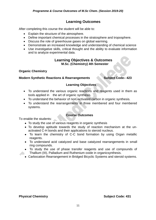# **Learning Outcomes**

After completing this course the student will be able to:

- Explain the structure of the atmosphere.
- Define important chemical processes in the stratosphere and troposphere.
- Discuss the role of greenhouse gases on global warming.
- Demonstrate an increased knowledge and understanding of chemical science
- Use investigative skills, critical thought and the ability to evaluate information and to analyze experimental data.

# **Learning Objectives & Outcomes M.Sc. (Chemistry) 4th Semester**

# **Organic Chemistry**

#### **Modern Synthetic Reactions & Rearrangements Subject Code– 423**

# **Learning Objectives**

- To understand the various organic reactions and reagents used in them as tools applied in the art of organic synthesis.
- To understand the behavior of non -activated carbon in organic synthesis.
- To understand the rearrangements in three membered and four membered systems.

# **Course Outcomes**

To enable the students:

- To study the use of various reagents in organic synthesis
- To develop aptitude towards the study of reaction mechanism at the unactivated C-H bonds and their applications to steroid nucleus.
- To learn the chemistry of C-C bond formation by using Organ metallic reagents.
- To understand acid catalyzed and base catalyzed rearrangements in small ring compounds.
- To study the use of phase transfer reagents and use of compounds of Thallium (III), Palladium and Ruthenium oxide in organicsynthesis.
- Carbocation Rearrangement in Bridged Bicyclic Systems and steroid systems.

#### **Physical Chemistry Subject Code: 431**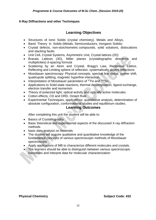# **X-Ray Diffractions and other Techniques**

# **Learning Objectives**

- Structures of Ionic Solids (crystal chemistry), Metals and Alloys,
- Band Theory in Solids (Metals, Semiconductors, Inorganic Solids)
- Crystal defects, non-stoichiometric compounds, solid solutions, dislocations and stacking faults.
- Unit Cell, Crystal Systems, Asymmetric Unit, Crystal lattices (2D)
- Bravais Lattices (3D), Miller planes (crystallographic directions and multiplicities) d-spacing formula
- Scattering by an Atom and Crystal, Bragg's Law, Reciprocal Lattice, Reflecting and Limiting sphere of reflection, systematically absent reflections
- Mossbauer spectroscopy: Physical concepts, spectral line shape, isomer shift, quadrupole splitting, magnetic hyperfine interaction.
- Interpretation of Mossbauer parameters of <sup>57</sup>Fe and <sup>119</sup>Sn.
- Applications to Solid-state reactions, thermal decomposition, ligand exchange, electron transfer and isomerism
- Theory of polarized light, optical activity and optically active molecules
- Cotton effects, CD and ORD, Octant Rule
- Experimental Techniques, applications: quantitative analysis, determination of absolute configuration, conformational studies and equilibrium studies.

# **Learning Outcomes**

After completing this unit the student will be able to:

- Basics of Crystallography
- Basic theoretical and experimental aspects of the discussed X-ray diffraction methods
- basic data analysis on materials
- The student will acquire qualitative and quantitative knowledge of the fundamental concepts of various spectroscopic methods of Mossbauer spectroscopy
- Apply applications of MB to characterize different molecules and crystals.
- The learners should be able to distinguish between various spectroscopic transitions and interpret data for molecular characterization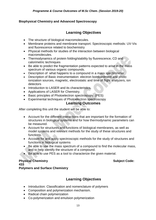# **Biophysical Chemistry and Advanced Spectroscopy**

# **Learning Objectives**

- The structure of biological macromolecules.
- Membrane proteins and membrane transport. Spectroscopic methods: UV-Vis and fluorescence related to biochemistry
- Physical methods for studies of the interaction between biological macromolecules.
- Thermodynamics of protein folding/stability by fluorescence, CD and calorimetric techniques
- Be able to predict the fragmentation patterns expected to arise in the mass spectrum of various organic compounds.
- Description of what happens to a compound in a mass spectrometer
- Description of Basic instrumentation: electron bombardment and photo ionization sources, magnetic, electrostatic and time of flight analyzers, ion detectors
- Introduction to LASER and its characteristics.
- Applications of LASER for Chemistry.
- Basic principles of Photoelectron spectroscopy. (PES)
- Experimental techniques of Photoelectron spectroscopy

# **Learning Outcomes**

After completing this unit the student will be able to:

- Account for the different interactions that are important for the formation of structures in biological systems and for how thermodynamic parameters can be measured.
- Account for structures and functions of biological membranes, as well as model systems and relevant methods for the study of these structures and functions.
- Account for and apply spectroscopic methods for the study of structures and functions in biological systems
- Be able to use the mass spectrum of a compound to find the molecular mass, and to help identify the structure of a compound.
- Be able to use PES as a tool to characterize the given material.

#### **Physical Chemistry Subject Code: Subject Code: Subject Code: Subject Code: 433 Polymers and Surface Chemistry**

# **Learning Objectives**

- Introduction: Classification and nomenclature of polymers
- Composition and polymerization mechanism.
- Radical chain polymerization
- Co-polymerization and emulsion polymerization